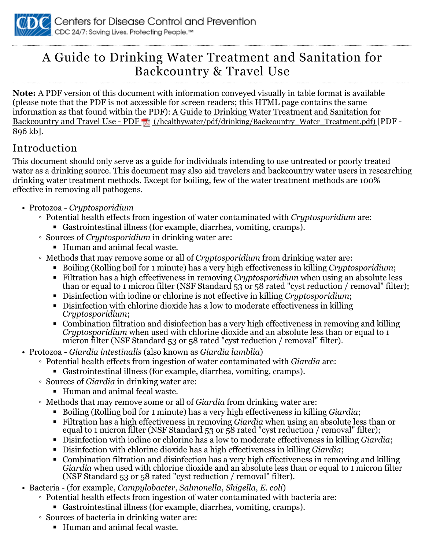

## A Guide to Drinking Water Treatment and Sanitation for Backcountry & Travel Use

**Note:** A PDF version of this document with information conveyed visually in table format is available (please note that the PDF is not accessible for screen readers; this HTML page contains the same information as that found within the PDF): A Guide to Drinking Water Treatment and Sanitation for Backcountry and Travel Use - PDF (/healthywater/pdf/drinking/Backcountry\_Water\_Treatment.pdf) [PDF -896 kb].

## Introduction

This document should only serve as a guide for individuals intending to use untreated or poorly treated water as a drinking source. This document may also aid travelers and backcountry water users in researching drinking water treatment methods. Except for boiling, few of the water treatment methods are 100% effective in removing all pathogens.

- Protozoa *Cryptosporidium*
	- Potential health effects from ingestion of water contaminated with *Cryptosporidium* are:
		- Gastrointestinal illness (for example, diarrhea, vomiting, cramps).
	- Sources of *Cryptosporidium* in drinking water are:
		- Human and animal fecal waste.
	- Methods that may remove some or all of *Cryptosporidium* from drinking water are:
		- Boiling (Rolling boil for 1 minute) has a very high effectiveness in killing *Cryptosporidium*;
		- Filtration has a high effectiveness in removing *Cryptosporidium* when using an absolute less than or equal to 1 micron filter (NSF Standard 53 or 58 rated "cyst reduction / removal" filter);
		- Disinfection with iodine or chlorine is not effective in killing *Cryptosporidium*;
		- Disinfection with chlorine dioxide has a low to moderate effectiveness in killing *Cryptosporidium*;
		- Combination filtration and disinfection has a very high effectiveness in removing and killing *Cryptosporidium* when used with chlorine dioxide and an absolute less than or equal to 1 micron filter (NSF Standard 53 or 58 rated "cyst reduction / removal" filter).
- Protozoa *Giardia intestinalis* (also known as *Giardia lamblia*)
	- Potential health effects from ingestion of water contaminated with *Giardia* are:
		- Gastrointestinal illness (for example, diarrhea, vomiting, cramps).
	- Sources of *Giardia* in drinking water are:
		- Human and animal fecal waste.
	- Methods that may remove some or all of *Giardia* from drinking water are:
		- Boiling (Rolling boil for 1 minute) has a very high effectiveness in killing *Giardia*;
		- Filtration has a high effectiveness in removing *Giardia* when using an absolute less than or equal to 1 micron filter (NSF Standard 53 or 58 rated "cyst reduction / removal" filter);
		- Disinfection with iodine or chlorine has a low to moderate effectiveness in killing *Giardia*;
		- Disinfection with chlorine dioxide has a high effectiveness in killing *Giardia*;
		- Combination filtration and disinfection has a very high effectiveness in removing and killing *Giardia* when used with chlorine dioxide and an absolute less than or equal to 1 micron filter (NSF Standard 53 or 58 rated "cyst reduction / removal" filter).
- Bacteria (for example, *Campylobacter*, *Salmonella*, *Shigella*, *E. coli*)
	- Potential health effects from ingestion of water contaminated with bacteria are:
		- Gastrointestinal illness (for example, diarrhea, vomiting, cramps).
	- Sources of bacteria in drinking water are:
		- Human and animal fecal waste.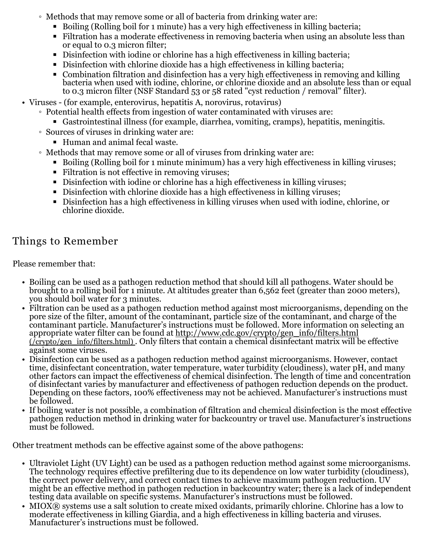- Methods that may remove some or all of bacteria from drinking water are:
	- Boiling (Rolling boil for 1 minute) has a very high effectiveness in killing bacteria;
	- Filtration has a moderate effectiveness in removing bacteria when using an absolute less than or equal to 0.3 micron filter;
	- Disinfection with iodine or chlorine has a high effectiveness in killing bacteria;
	- Disinfection with chlorine dioxide has a high effectiveness in killing bacteria;
	- Combination filtration and disinfection has a very high effectiveness in removing and killing bacteria when used with iodine, chlorine, or chlorine dioxide and an absolute less than or equal to 0.3 micron filter (NSF Standard 53 or 58 rated "cyst reduction / removal" filter).
- Viruses (for example, enterovirus, hepatitis A, norovirus, rotavirus)
	- Potential health effects from ingestion of water contaminated with viruses are:
		- Gastrointestinal illness (for example, diarrhea, vomiting, cramps), hepatitis, meningitis.
	- Sources of viruses in drinking water are:
		- Human and animal fecal waste.
	- Methods that may remove some or all of viruses from drinking water are:
		- Boiling (Rolling boil for 1 minute minimum) has a very high effectiveness in killing viruses;
		- Filtration is not effective in removing viruses:
		- Disinfection with iodine or chlorine has a high effectiveness in killing viruses;
		- Disinfection with chlorine dioxide has a high effectiveness in killing viruses;
		- Disinfection has a high effectiveness in killing viruses when used with iodine, chlorine, or chlorine dioxide.

## Things to Remember

Please remember that:

- Boiling can be used as a pathogen reduction method that should kill all pathogens. Water should be brought to a rolling boil for 1 minute. At altitudes greater than 6,562 feet (greater than 2000 meters), you should boil water for 3 minutes.
- Filtration can be used as a pathogen reduction method against most microorganisms, depending on the pore size of the filter, amount of the contaminant, particle size of the contaminant, and charge of the contaminant particle. Manufacturer's instructions must be followed. More information on selecting an appropriate water filter can be found at <u>http://www.cdc.gov/crypto/gen\_info/filters.html</u> (/crypto/gen\_info/filters.html) . Only filters that contain a chemical disinfectant matrix will be effective against some viruses.
- Disinfection can be used as a pathogen reduction method against microorganisms. However, contact time, disinfectant concentration, water temperature, water turbidity (cloudiness), water pH, and many other factors can impact the effectiveness of chemical disinfection. The length of time and concentration of disinfectant varies by manufacturer and effectiveness of pathogen reduction depends on the product. Depending on these factors, 100% effectiveness may not be achieved. Manufacturer's instructions must be followed.
- If boiling water is not possible, a combination of filtration and chemical disinfection is the most effective pathogen reduction method in drinking water for backcountry or travel use. Manufacturer's instructions must be followed.

Other treatment methods can be effective against some of the above pathogens:

- Ultraviolet Light (UV Light) can be used as a pathogen reduction method against some microorganisms. The technology requires effective prefiltering due to its dependence on low water turbidity (cloudiness), the correct power delivery, and correct contact times to achieve maximum pathogen reduction. UV might be an effective method in pathogen reduction in backcountry water; there is a lack of independent testing data available on specific systems. Manufacturer's instructions must be followed.
- MIOX® systems use a salt solution to create mixed oxidants, primarily chlorine. Chlorine has a low to moderate effectiveness in killing Giardia, and a high effectiveness in killing bacteria and viruses. Manufacturer's instructions must be followed.